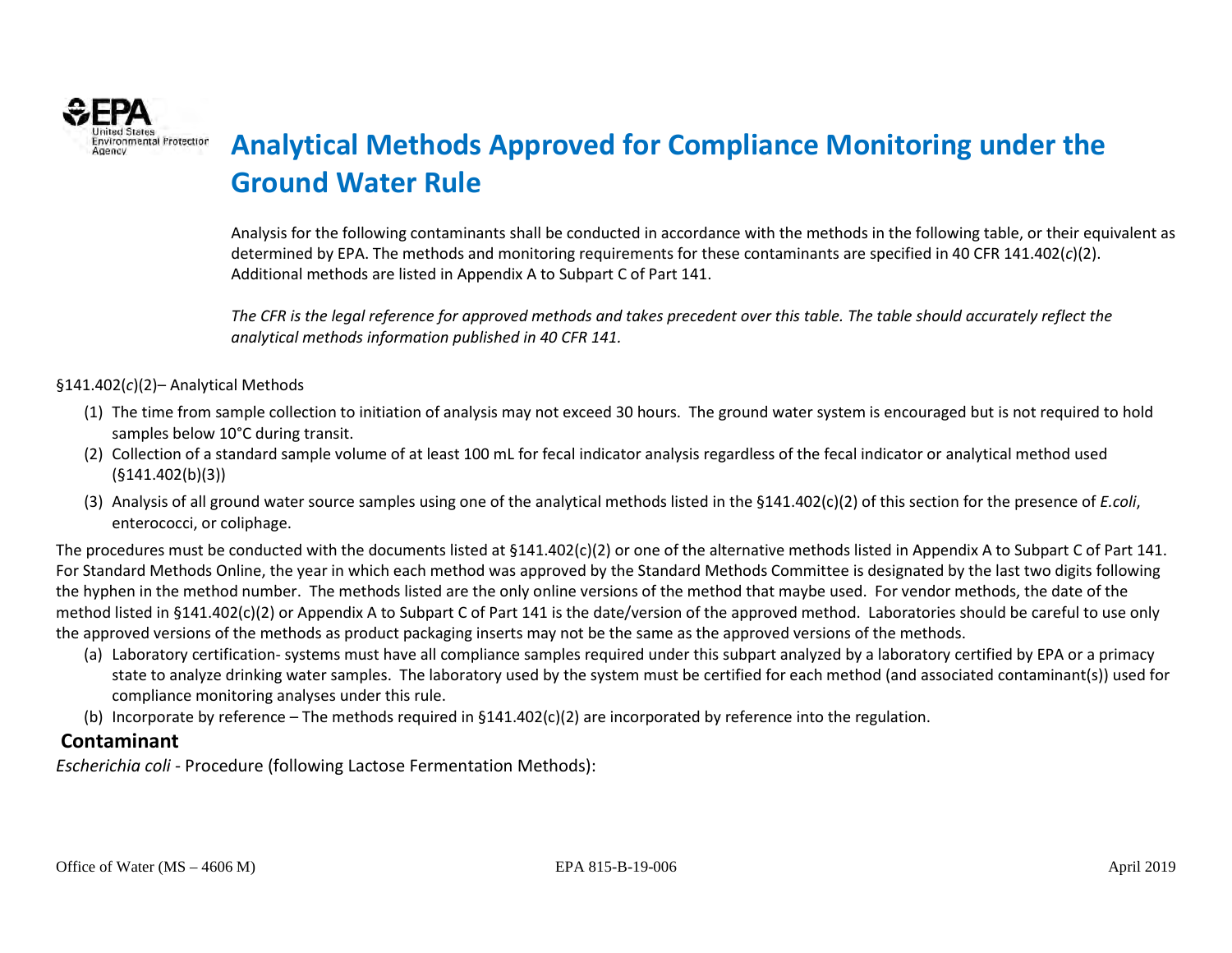

# **ENVIRONMERIAL Protectior Analytical Methods Approved for Compliance Monitoring under the Ground Water Rule**

Analysis for the following contaminants shall be conducted in accordance with the methods in the following table, or their equivalent as determined by EPA. The methods and monitoring requirements for these contaminants are specified in 40 CFR 141.402(*c*)(2). Additional methods are listed in Appendix A to Subpart C of Part 141.

*The CFR is the legal reference for approved methods and takes precedent over this table. The table should accurately reflect the analytical methods information published in 40 CFR 141.* 

§141.402(*c*)(2)– Analytical Methods

- (1) The time from sample collection to initiation of analysis may not exceed 30 hours. The ground water system is encouraged but is not required to hold samples below 10°C during transit.
- (2) Collection of a standard sample volume of at least 100 mL for fecal indicator analysis regardless of the fecal indicator or analytical method used (§141.402(b)(3))
- (3) Analysis of all ground water source samples using one of the analytical methods listed in the §141.402(c)(2) of this section for the presence of *E.coli*, enterococci, or coliphage.

The procedures must be conducted with the documents listed at §141.402(c)(2) or one of the alternative methods listed in Appendix A to Subpart C of Part 141. For Standard Methods Online, the year in which each method was approved by the Standard Methods Committee is designated by the last two digits following the hyphen in the method number. The methods listed are the only online versions of the method that maybe used. For vendor methods, the date of the method listed in §141.402(c)(2) or Appendix A to Subpart C of Part 141 is the date/version of the approved method. Laboratories should be careful to use only the approved versions of the methods as product packaging inserts may not be the same as the approved versions of the methods.

- (a) Laboratory certification- systems must have all compliance samples required under this subpart analyzed by a laboratory certified by EPA or a primacy state to analyze drinking water samples. The laboratory used by the system must be certified for each method (and associated contaminant(s)) used for compliance monitoring analyses under this rule.
- (b) Incorporate by reference The methods required in  $\S141.402(c)(2)$  are incorporated by reference into the regulation.

#### **Contaminant**

*Escherichia coli -* Procedure (following Lactose Fermentation Methods):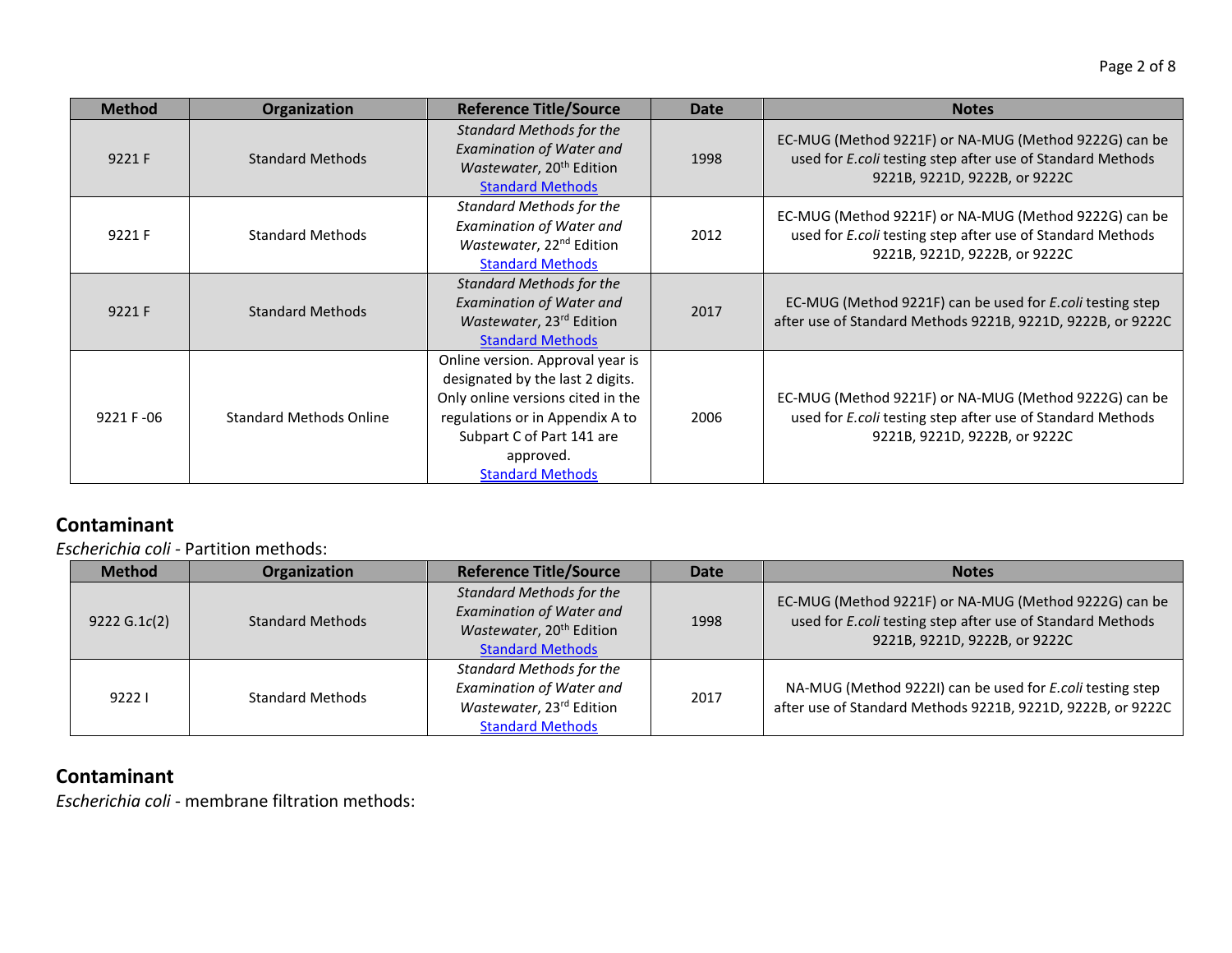| <b>Method</b> | Organization                   | <b>Reference Title/Source</b>                                                                                                                                                                                     | <b>Date</b> | <b>Notes</b>                                                                                                                                         |
|---------------|--------------------------------|-------------------------------------------------------------------------------------------------------------------------------------------------------------------------------------------------------------------|-------------|------------------------------------------------------------------------------------------------------------------------------------------------------|
| 9221 F        | <b>Standard Methods</b>        | <b>Standard Methods for the</b><br><b>Examination of Water and</b><br>Wastewater, 20 <sup>th</sup> Edition<br><b>Standard Methods</b>                                                                             | 1998        | EC-MUG (Method 9221F) or NA-MUG (Method 9222G) can be<br>used for E.coli testing step after use of Standard Methods<br>9221B, 9221D, 9222B, or 9222C |
| 9221 F        | <b>Standard Methods</b>        | <b>Standard Methods for the</b><br><b>Examination of Water and</b><br>Wastewater, 22 <sup>nd</sup> Edition<br><b>Standard Methods</b>                                                                             | 2012        | EC-MUG (Method 9221F) or NA-MUG (Method 9222G) can be<br>used for E.coli testing step after use of Standard Methods<br>9221B, 9221D, 9222B, or 9222C |
| 9221 F        | <b>Standard Methods</b>        | <b>Standard Methods for the</b><br><b>Examination of Water and</b><br>Wastewater, 23rd Edition<br><b>Standard Methods</b>                                                                                         | 2017        | EC-MUG (Method 9221F) can be used for E.coli testing step<br>after use of Standard Methods 9221B, 9221D, 9222B, or 9222C                             |
| 9221 F-06     | <b>Standard Methods Online</b> | Online version. Approval year is<br>designated by the last 2 digits.<br>Only online versions cited in the<br>regulations or in Appendix A to<br>Subpart C of Part 141 are<br>approved.<br><b>Standard Methods</b> | 2006        | EC-MUG (Method 9221F) or NA-MUG (Method 9222G) can be<br>used for E.coli testing step after use of Standard Methods<br>9221B, 9221D, 9222B, or 9222C |

*Escherichia coli -* Partition methods:

| <b>Method</b> | Organization            | <b>Reference Title/Source</b>                                                                                                         | Date | <b>Notes</b>                                                                                                                                         |
|---------------|-------------------------|---------------------------------------------------------------------------------------------------------------------------------------|------|------------------------------------------------------------------------------------------------------------------------------------------------------|
| 9222 G.1c(2)  | <b>Standard Methods</b> | <b>Standard Methods for the</b><br><b>Examination of Water and</b><br>Wastewater, 20 <sup>th</sup> Edition<br><b>Standard Methods</b> | 1998 | EC-MUG (Method 9221F) or NA-MUG (Method 9222G) can be<br>used for E.coli testing step after use of Standard Methods<br>9221B, 9221D, 9222B, or 9222C |
| 92221         | <b>Standard Methods</b> | <b>Standard Methods for the</b><br><b>Examination of Water and</b><br>Wastewater, 23rd Edition<br><b>Standard Methods</b>             | 2017 | NA-MUG (Method 9222I) can be used for E.coli testing step<br>after use of Standard Methods 9221B, 9221D, 9222B, or 9222C                             |

### **Contaminant**

*Escherichia coli* - membrane filtration methods: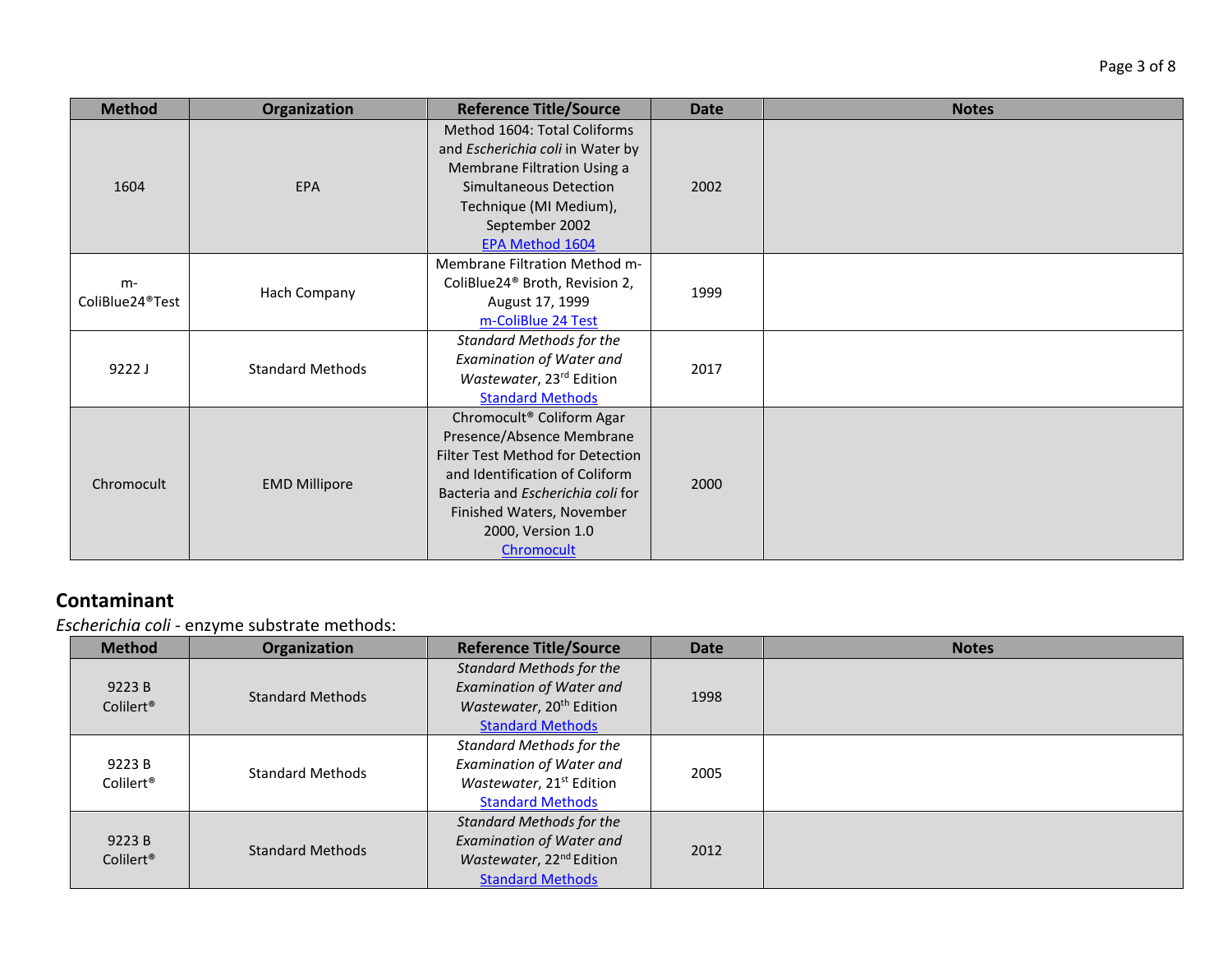| <b>Method</b>                        | <b>Organization</b>     | <b>Reference Title/Source</b>                                                                                                                                                                                                                 | <b>Date</b> | <b>Notes</b> |
|--------------------------------------|-------------------------|-----------------------------------------------------------------------------------------------------------------------------------------------------------------------------------------------------------------------------------------------|-------------|--------------|
| 1604                                 | <b>EPA</b>              | Method 1604: Total Coliforms<br>and Escherichia coli in Water by<br>Membrane Filtration Using a<br>Simultaneous Detection<br>Technique (MI Medium),<br>September 2002<br>EPA Method 1604                                                      | 2002        |              |
| $m-$<br>ColiBlue24 <sup>®</sup> Test | Hach Company            | Membrane Filtration Method m-<br>ColiBlue24 <sup>®</sup> Broth, Revision 2,<br>August 17, 1999<br>m-ColiBlue 24 Test                                                                                                                          | 1999        |              |
| 9222J                                | <b>Standard Methods</b> | Standard Methods for the<br><b>Examination of Water and</b><br>Wastewater, 23rd Edition<br><b>Standard Methods</b>                                                                                                                            | 2017        |              |
| Chromocult                           | <b>EMD Millipore</b>    | Chromocult <sup>®</sup> Coliform Agar<br>Presence/Absence Membrane<br>Filter Test Method for Detection<br>and Identification of Coliform<br>Bacteria and Escherichia coli for<br>Finished Waters, November<br>2000, Version 1.0<br>Chromocult | 2000        |              |

*Escherichia coli* - enzyme substrate methods:

| <b>Method</b>                   | Organization            | <b>Reference Title/Source</b>                                                                                                  | <b>Date</b> | <b>Notes</b> |
|---------------------------------|-------------------------|--------------------------------------------------------------------------------------------------------------------------------|-------------|--------------|
| 9223 B<br>Colilert <sup>®</sup> | <b>Standard Methods</b> | Standard Methods for the<br><b>Examination of Water and</b><br>Wastewater, 20 <sup>th</sup> Edition<br><b>Standard Methods</b> | 1998        |              |
| 9223 B<br>Colilert <sup>®</sup> | <b>Standard Methods</b> | Standard Methods for the<br><b>Examination of Water and</b><br>Wastewater, 21 <sup>st</sup> Edition<br><b>Standard Methods</b> | 2005        |              |
| 9223 B<br>Colilert <sup>®</sup> | <b>Standard Methods</b> | Standard Methods for the<br><b>Examination of Water and</b><br>Wastewater, 22 <sup>nd</sup> Edition<br><b>Standard Methods</b> | 2012        |              |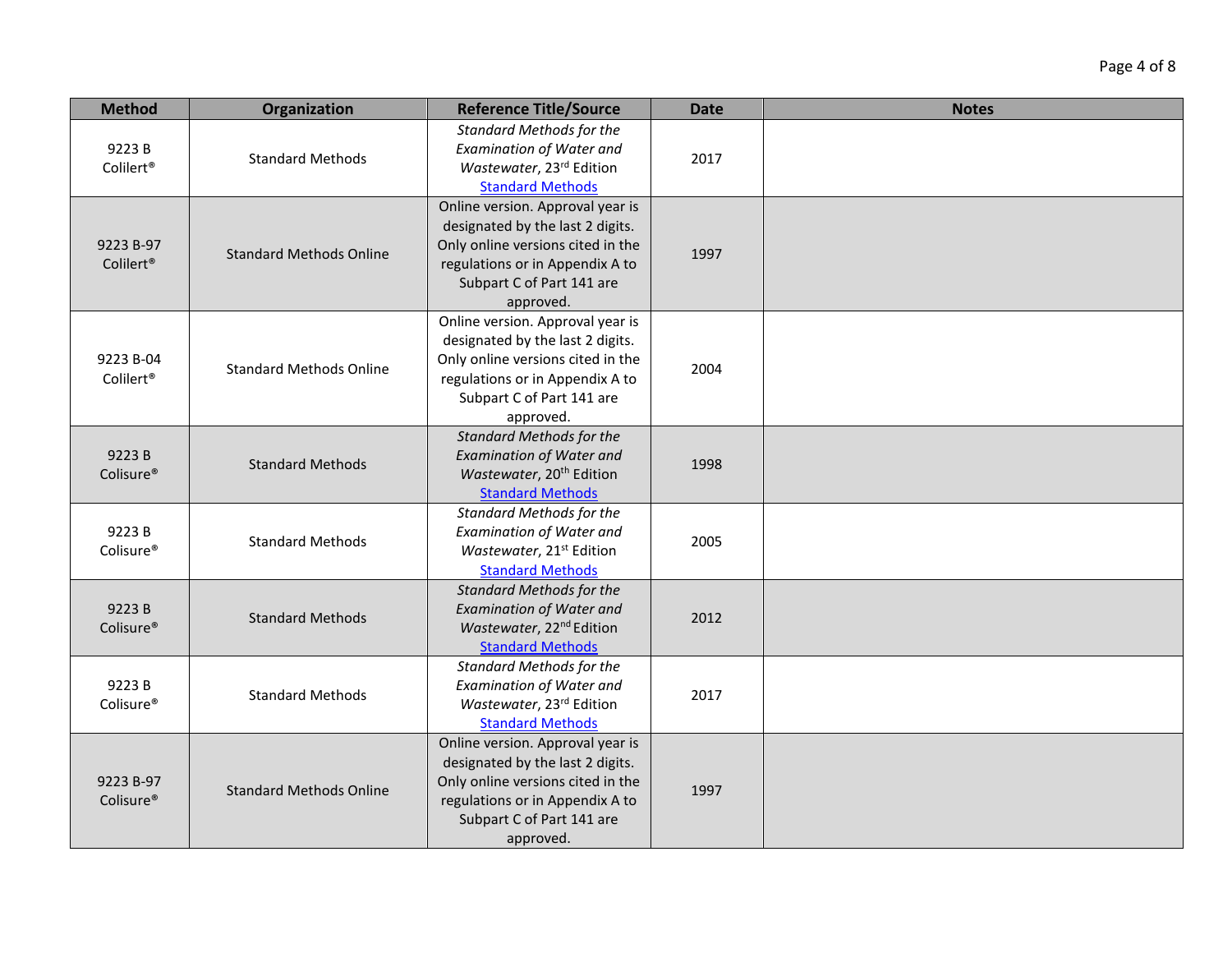| <b>Method</b>                      | Organization                   | <b>Reference Title/Source</b>                                                                                                                                                          | <b>Date</b> | <b>Notes</b> |
|------------------------------------|--------------------------------|----------------------------------------------------------------------------------------------------------------------------------------------------------------------------------------|-------------|--------------|
| 9223B<br>Colilert <sup>®</sup>     | <b>Standard Methods</b>        | <b>Standard Methods for the</b><br>Examination of Water and<br>Wastewater, 23rd Edition<br><b>Standard Methods</b>                                                                     | 2017        |              |
| 9223 B-97<br>Colilert <sup>®</sup> | <b>Standard Methods Online</b> | Online version. Approval year is<br>designated by the last 2 digits.<br>Only online versions cited in the<br>regulations or in Appendix A to<br>Subpart C of Part 141 are<br>approved. | 1997        |              |
| 9223 B-04<br>Colilert <sup>®</sup> | <b>Standard Methods Online</b> | Online version. Approval year is<br>designated by the last 2 digits.<br>Only online versions cited in the<br>regulations or in Appendix A to<br>Subpart C of Part 141 are<br>approved. | 2004        |              |
| 9223B<br>Colisure®                 | <b>Standard Methods</b>        | <b>Standard Methods for the</b><br><b>Examination of Water and</b><br>Wastewater, 20 <sup>th</sup> Edition<br><b>Standard Methods</b>                                                  | 1998        |              |
| 9223B<br>Colisure <sup>®</sup>     | <b>Standard Methods</b>        | <b>Standard Methods for the</b><br><b>Examination of Water and</b><br>Wastewater, 21st Edition<br><b>Standard Methods</b>                                                              | 2005        |              |
| 9223B<br>Colisure <sup>®</sup>     | <b>Standard Methods</b>        | <b>Standard Methods for the</b><br><b>Examination of Water and</b><br>Wastewater, 22 <sup>nd</sup> Edition<br><b>Standard Methods</b>                                                  | 2012        |              |
| 9223B<br>Colisure®                 | <b>Standard Methods</b>        | <b>Standard Methods for the</b><br>Examination of Water and<br>Wastewater, 23rd Edition<br><b>Standard Methods</b>                                                                     | 2017        |              |
| 9223 B-97<br>Colisure <sup>®</sup> | <b>Standard Methods Online</b> | Online version. Approval year is<br>designated by the last 2 digits.<br>Only online versions cited in the<br>regulations or in Appendix A to<br>Subpart C of Part 141 are<br>approved. | 1997        |              |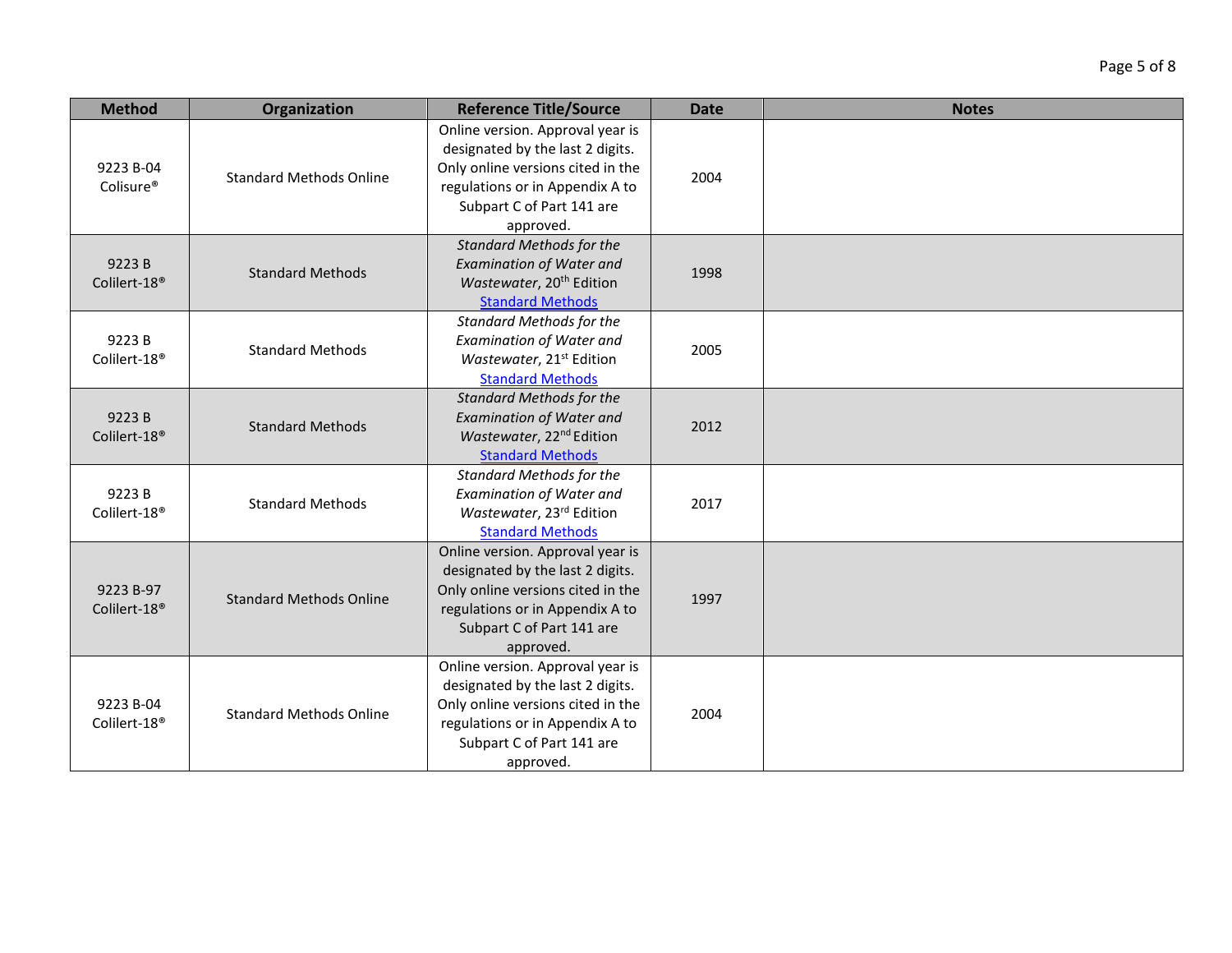| Page 5 of 8 |  |  |
|-------------|--|--|
|-------------|--|--|

| <b>Method</b>                         | Organization                   | <b>Reference Title/Source</b>                                                                                                                                                          | <b>Date</b> | <b>Notes</b> |
|---------------------------------------|--------------------------------|----------------------------------------------------------------------------------------------------------------------------------------------------------------------------------------|-------------|--------------|
| 9223 B-04<br>Colisure <sup>®</sup>    | <b>Standard Methods Online</b> | Online version. Approval year is<br>designated by the last 2 digits.<br>Only online versions cited in the<br>regulations or in Appendix A to<br>Subpart C of Part 141 are<br>approved. | 2004        |              |
| 9223B<br>Colilert-18 <sup>®</sup>     | <b>Standard Methods</b>        | <b>Standard Methods for the</b><br><b>Examination of Water and</b><br>Wastewater, 20 <sup>th</sup> Edition<br><b>Standard Methods</b>                                                  | 1998        |              |
| 9223B<br>Colilert-18 <sup>®</sup>     | <b>Standard Methods</b>        | <b>Standard Methods for the</b><br><b>Examination of Water and</b><br>Wastewater, 21 <sup>st</sup> Edition<br><b>Standard Methods</b>                                                  | 2005        |              |
| 9223B<br>Colilert-18 <sup>®</sup>     | <b>Standard Methods</b>        | <b>Standard Methods for the</b><br><b>Examination of Water and</b><br>Wastewater, 22 <sup>nd</sup> Edition<br><b>Standard Methods</b>                                                  | 2012        |              |
| 9223B<br>Colilert-18 <sup>®</sup>     | <b>Standard Methods</b>        | <b>Standard Methods for the</b><br><b>Examination of Water and</b><br>Wastewater, 23rd Edition<br><b>Standard Methods</b>                                                              | 2017        |              |
| 9223 B-97<br>Colilert-18 <sup>®</sup> | <b>Standard Methods Online</b> | Online version. Approval year is<br>designated by the last 2 digits.<br>Only online versions cited in the<br>regulations or in Appendix A to<br>Subpart C of Part 141 are<br>approved. | 1997        |              |
| 9223 B-04<br>Colilert-18 <sup>®</sup> | <b>Standard Methods Online</b> | Online version. Approval year is<br>designated by the last 2 digits.<br>Only online versions cited in the<br>regulations or in Appendix A to<br>Subpart C of Part 141 are<br>approved. | 2004        |              |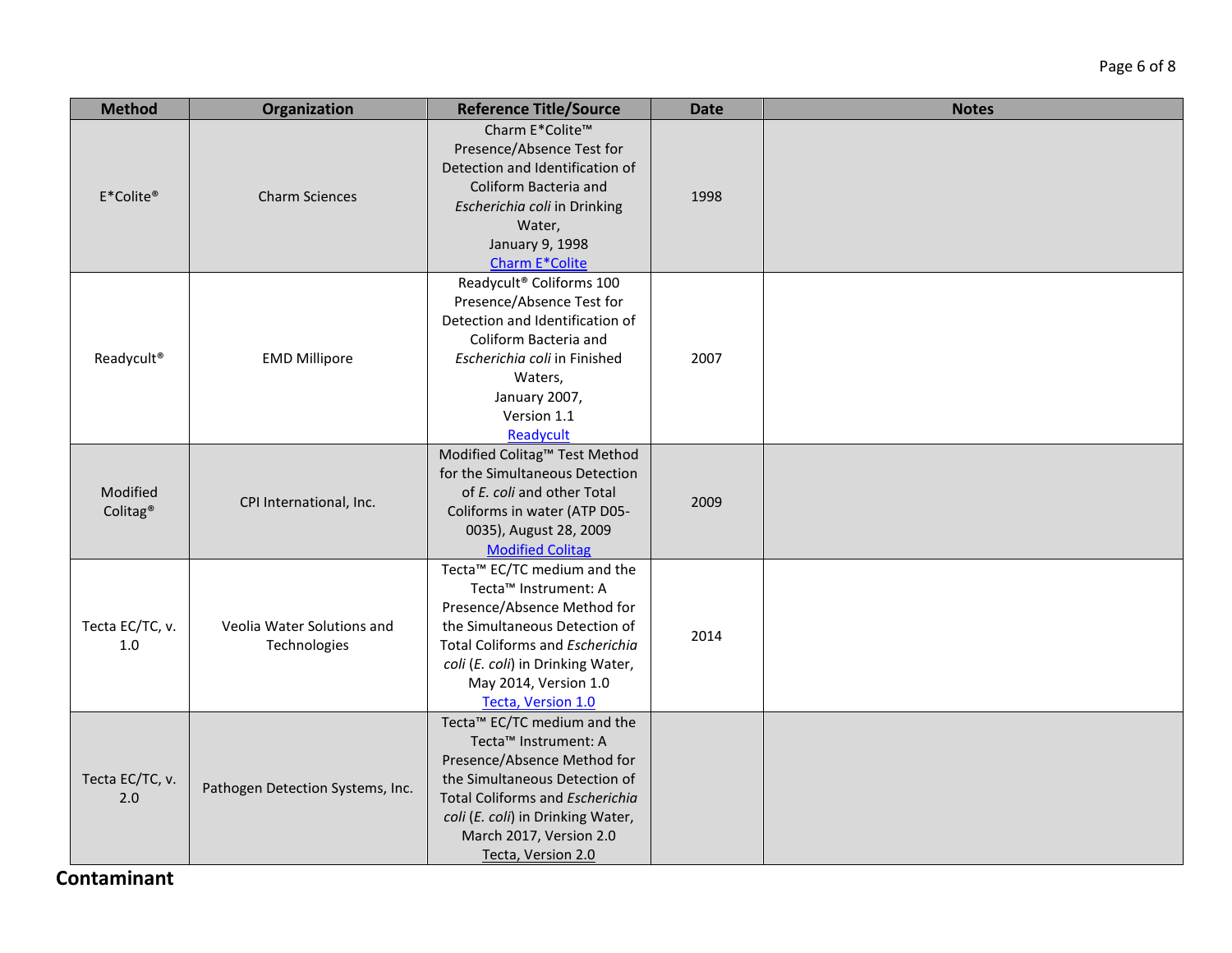| <b>Method</b>                    | Organization                               | <b>Reference Title/Source</b>                                                                                                                                                                                                                                        | <b>Date</b> | <b>Notes</b> |
|----------------------------------|--------------------------------------------|----------------------------------------------------------------------------------------------------------------------------------------------------------------------------------------------------------------------------------------------------------------------|-------------|--------------|
| E*Colite®                        | <b>Charm Sciences</b>                      | Charm E*Colite™<br>Presence/Absence Test for<br>Detection and Identification of<br>Coliform Bacteria and<br>Escherichia coli in Drinking<br>Water,<br>January 9, 1998<br>Charm E*Colite                                                                              | 1998        |              |
| Readycult <sup>®</sup>           | <b>EMD Millipore</b>                       | Readycult® Coliforms 100<br>Presence/Absence Test for<br>Detection and Identification of<br>Coliform Bacteria and<br>Escherichia coli in Finished<br>Waters,<br>January 2007,<br>Version 1.1<br>Readycult                                                            | 2007        |              |
| Modified<br>Colitag <sup>®</sup> | CPI International, Inc.                    | Modified Colitag™ Test Method<br>for the Simultaneous Detection<br>of E. coli and other Total<br>Coliforms in water (ATP D05-<br>0035), August 28, 2009<br><b>Modified Colitag</b>                                                                                   | 2009        |              |
| Tecta EC/TC, v.<br>1.0           | Veolia Water Solutions and<br>Technologies | Tecta™ EC/TC medium and the<br>Tecta <sup>™</sup> Instrument: A<br>Presence/Absence Method for<br>the Simultaneous Detection of<br>Total Coliforms and Escherichia<br>coli (E. coli) in Drinking Water,<br>May 2014, Version 1.0<br>Tecta, Version 1.0               | 2014        |              |
| Tecta EC/TC, v.<br>2.0           | Pathogen Detection Systems, Inc.           | Tecta <sup>™</sup> EC/TC medium and the<br>Tecta <sup>™</sup> Instrument: A<br>Presence/Absence Method for<br>the Simultaneous Detection of<br>Total Coliforms and Escherichia<br>coli (E. coli) in Drinking Water,<br>March 2017, Version 2.0<br>Tecta, Version 2.0 |             |              |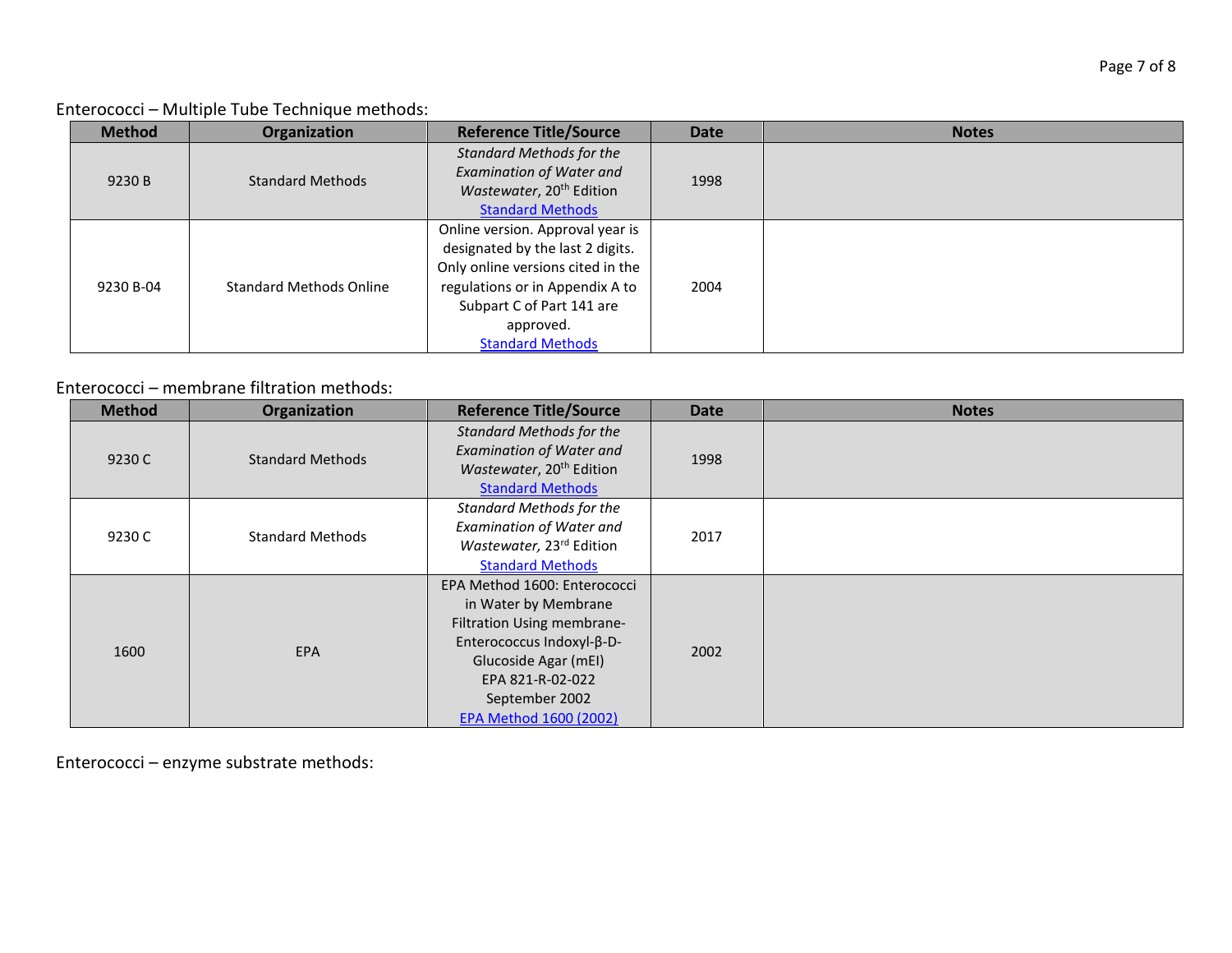Enterococci – Multiple Tube Technique methods:

| <b>Method</b> | Organization                   | <b>Reference Title/Source</b>        | <b>Date</b> | <b>Notes</b> |
|---------------|--------------------------------|--------------------------------------|-------------|--------------|
|               |                                | <b>Standard Methods for the</b>      |             |              |
| 9230 B        | <b>Standard Methods</b>        | <b>Examination of Water and</b>      | 1998        |              |
|               |                                | Wastewater, 20 <sup>th</sup> Edition |             |              |
|               |                                | <b>Standard Methods</b>              |             |              |
|               |                                | Online version. Approval year is     |             |              |
|               |                                | designated by the last 2 digits.     |             |              |
|               | <b>Standard Methods Online</b> | Only online versions cited in the    |             |              |
| 9230 B-04     |                                | regulations or in Appendix A to      | 2004        |              |
|               |                                | Subpart C of Part 141 are            |             |              |
|               |                                | approved.                            |             |              |
|               |                                | <b>Standard Methods</b>              |             |              |

#### Enterococci – membrane filtration methods:

| <b>Method</b> | Organization            | <b>Reference Title/Source</b>                                                                                                                                                                           | <b>Date</b> | <b>Notes</b> |
|---------------|-------------------------|---------------------------------------------------------------------------------------------------------------------------------------------------------------------------------------------------------|-------------|--------------|
| 9230 C        | <b>Standard Methods</b> | <b>Standard Methods for the</b><br><b>Examination of Water and</b><br>Wastewater, 20 <sup>th</sup> Edition<br><b>Standard Methods</b>                                                                   | 1998        |              |
| 9230 C        | <b>Standard Methods</b> | <b>Standard Methods for the</b><br><b>Examination of Water and</b><br>Wastewater, 23rd Edition<br><b>Standard Methods</b>                                                                               | 2017        |              |
| 1600          | <b>EPA</b>              | EPA Method 1600: Enterococci<br>in Water by Membrane<br>Filtration Using membrane-<br>Enterococcus Indoxyl-β-D-<br>Glucoside Agar (mEI)<br>EPA 821-R-02-022<br>September 2002<br>EPA Method 1600 (2002) | 2002        |              |

Enterococci – enzyme substrate methods: